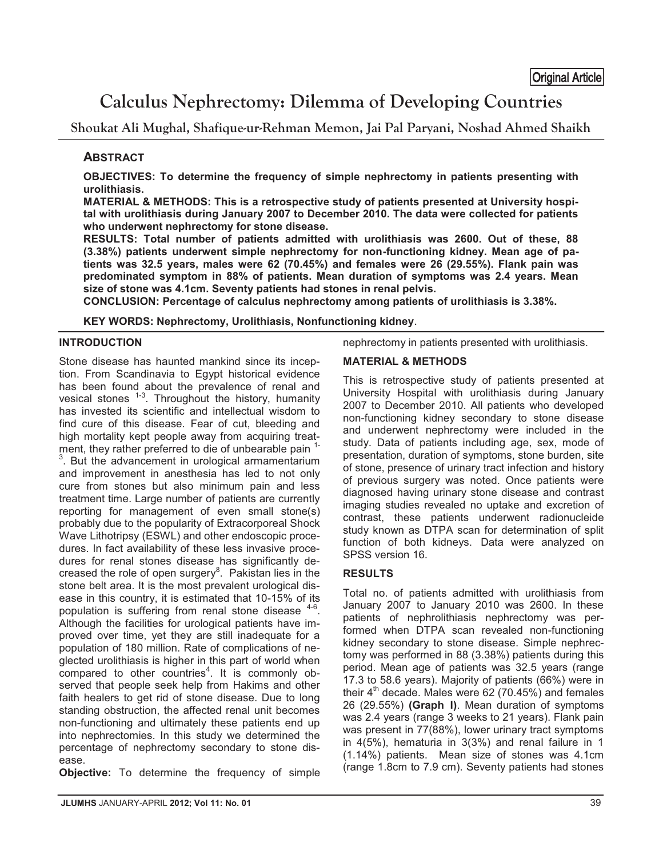# **Calculus Nephrectomy: Dilemma of Developing Countries**

**Shoukat Ali Mughal, Shafique-ur-Rehman Memon, Jai Pal Paryani, Noshad Ahmed Shaikh** 

# **ABSTRACT**

**OBJECTIVES: To determine the frequency of simple nephrectomy in patients presenting with urolithiasis.** 

**MATERIAL & METHODS: This is a retrospective study of patients presented at University hospital with urolithiasis during January 2007 to December 2010. The data were collected for patients who underwent nephrectomy for stone disease.** 

**RESULTS: Total number of patients admitted with urolithiasis was 2600. Out of these, 88 (3.38%) patients underwent simple nephrectomy for non-functioning kidney. Mean age of patients was 32.5 years, males were 62 (70.45%) and females were 26 (29.55%). Flank pain was predominated symptom in 88% of patients. Mean duration of symptoms was 2.4 years. Mean size of stone was 4.1cm. Seventy patients had stones in renal pelvis.** 

**CONCLUSION: Percentage of calculus nephrectomy among patients of urolithiasis is 3.38%.** 

**KEY WORDS: Nephrectomy, Urolithiasis, Nonfunctioning kidney**.

## **INTRODUCTION**

Stone disease has haunted mankind since its inception. From Scandinavia to Egypt historical evidence has been found about the prevalence of renal and vesical stones  $1-3$ . Throughout the history, humanity has invested its scientific and intellectual wisdom to find cure of this disease. Fear of cut, bleeding and high mortality kept people away from acquiring treatment, they rather preferred to die of unbearable pain <sup>1-</sup>  $3.$  But the advancement in urological armamentarium and improvement in anesthesia has led to not only cure from stones but also minimum pain and less treatment time. Large number of patients are currently reporting for management of even small stone(s) probably due to the popularity of Extracorporeal Shock Wave Lithotripsy (ESWL) and other endoscopic procedures. In fact availability of these less invasive procedures for renal stones disease has significantly decreased the role of open surgery $8$ . Pakistan lies in the stone belt area. It is the most prevalent urological disease in this country, it is estimated that 10-15% of its population is suffering from renal stone disease  $4-6$ . Although the facilities for urological patients have improved over time, yet they are still inadequate for a population of 180 million. Rate of complications of neglected urolithiasis is higher in this part of world when compared to other countries<sup>4</sup>. It is commonly observed that people seek help from Hakims and other faith healers to get rid of stone disease. Due to long standing obstruction, the affected renal unit becomes non-functioning and ultimately these patients end up into nephrectomies. In this study we determined the percentage of nephrectomy secondary to stone disease.

**Objective:** To determine the frequency of simple

nephrectomy in patients presented with urolithiasis.

## **MATERIAL & METHODS**

This is retrospective study of patients presented at University Hospital with urolithiasis during January 2007 to December 2010. All patients who developed non-functioning kidney secondary to stone disease and underwent nephrectomy were included in the study. Data of patients including age, sex, mode of presentation, duration of symptoms, stone burden, site of stone, presence of urinary tract infection and history of previous surgery was noted. Once patients were diagnosed having urinary stone disease and contrast imaging studies revealed no uptake and excretion of contrast, these patients underwent radionucleide study known as DTPA scan for determination of split function of both kidneys. Data were analyzed on SPSS version 16.

## **RESULTS**

Total no. of patients admitted with urolithiasis from January 2007 to January 2010 was 2600. In these patients of nephrolithiasis nephrectomy was performed when DTPA scan revealed non-functioning kidney secondary to stone disease. Simple nephrectomy was performed in 88 (3.38%) patients during this period. Mean age of patients was 32.5 years (range 17.3 to 58.6 years). Majority of patients (66%) were in their  $4<sup>th</sup>$  decade. Males were 62 (70.45%) and females 26 (29.55%) **(Graph I)**. Mean duration of symptoms was 2.4 years (range 3 weeks to 21 years). Flank pain was present in 77(88%), lower urinary tract symptoms in 4(5%), hematuria in 3(3%) and renal failure in 1 (1.14%) patients. Mean size of stones was 4.1cm (range 1.8cm to 7.9 cm). Seventy patients had stones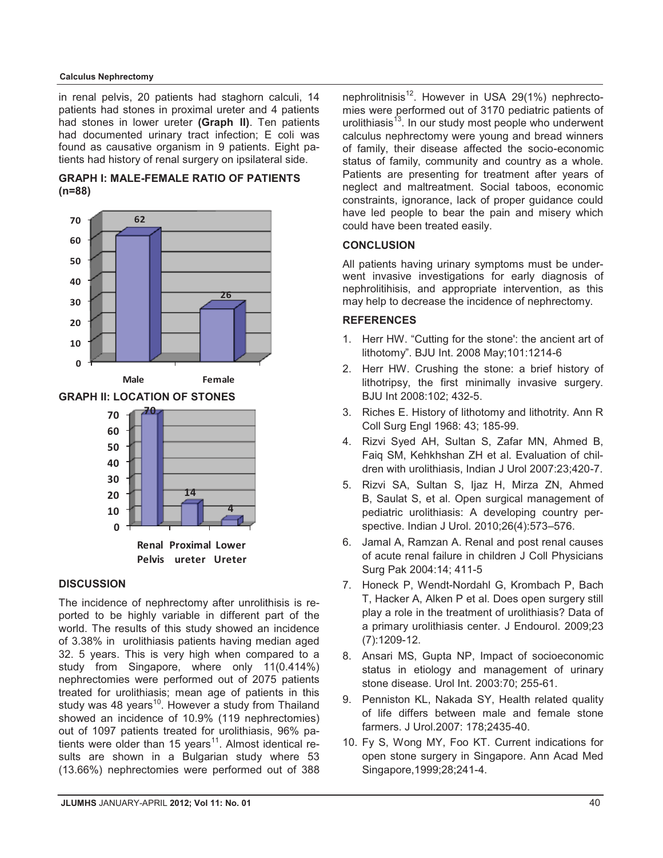#### **Calculus Nephrectomy**

in renal pelvis, 20 patients had staghorn calculi, 14 patients had stones in proximal ureter and 4 patients had stones in lower ureter **(Graph II)**. Ten patients had documented urinary tract infection; E coli was found as causative organism in 9 patients. Eight patients had history of renal surgery on ipsilateral side.







#### **DISCUSSION**

The incidence of nephrectomy after unrolithisis is reported to be highly variable in different part of the world. The results of this study showed an incidence of 3.38% in urolithiasis patients having median aged 32. 5 years. This is very high when compared to a study from Singapore, where only 11(0.414%) nephrectomies were performed out of 2075 patients treated for urolithiasis; mean age of patients in this study was 48 years<sup>10</sup>. However a study from Thailand showed an incidence of 10.9% (119 nephrectomies) out of 1097 patients treated for urolithiasis, 96% patients were older than 15 years<sup>11</sup>. Almost identical results are shown in a Bulgarian study where 53 (13.66%) nephrectomies were performed out of 388 nephrolitnisis<sup>12</sup>. However in USA 29(1%) nephrectomies were performed out of 3170 pediatric patients of urolithiasis $13$ . In our study most people who underwent calculus nephrectomy were young and bread winners of family, their disease affected the socio-economic status of family, community and country as a whole. Patients are presenting for treatment after years of neglect and maltreatment. Social taboos, economic constraints, ignorance, lack of proper guidance could have led people to bear the pain and misery which could have been treated easily.

## **CONCLUSION**

All patients having urinary symptoms must be underwent invasive investigations for early diagnosis of nephrolitihisis, and appropriate intervention, as this may help to decrease the incidence of nephrectomy.

## **REFERENCES**

- 1. Herr HW. "Cutting for the stone': the ancient art of lithotomy". BJU Int. 2008 May;101:1214-6
- 2. Herr HW. Crushing the stone: a brief history of lithotripsy, the first minimally invasive surgery. BJU Int 2008:102; 432-5.
- 3. Riches E. History of lithotomy and lithotrity. Ann R Coll Surg Engl 1968: 43; 185-99.
- 4. Rizvi Syed AH, Sultan S, Zafar MN, Ahmed B, Faiq SM, Kehkhshan ZH et al. Evaluation of children with urolithiasis, Indian J Urol 2007:23;420-7.
- 5. Rizvi SA, Sultan S, Ijaz H, Mirza ZN, Ahmed B, Saulat S, et al. Open surgical management of pediatric urolithiasis: A developing country perspective. Indian J Urol. 2010;26(4):573–576.
- 6. Jamal A, Ramzan A. Renal and post renal causes of acute renal failure in children J Coll Physicians Surg Pak 2004:14; 411-5
- 7. Honeck P, Wendt-Nordahl G, Krombach P, Bach T, Hacker A, Alken P et al. Does open surgery still play a role in the treatment of urolithiasis? Data of a primary urolithiasis center. J Endourol. 2009;23 (7):1209-12.
- 8. Ansari MS, Gupta NP, Impact of socioeconomic status in etiology and management of urinary stone disease. Urol Int. 2003:70; 255-61.
- 9. Penniston KL, Nakada SY, Health related quality of life differs between male and female stone farmers. J Urol.2007: 178;2435-40.
- 10. Fy S, Wong MY, Foo KT. Current indications for open stone surgery in Singapore. Ann Acad Med Singapore,1999;28;241-4.